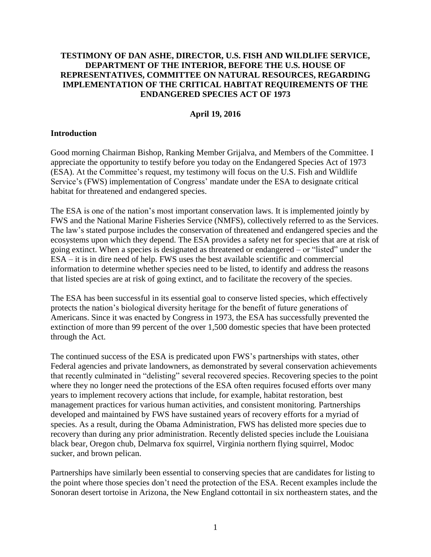#### **TESTIMONY OF DAN ASHE, DIRECTOR, U.S. FISH AND WILDLIFE SERVICE, DEPARTMENT OF THE INTERIOR, BEFORE THE U.S. HOUSE OF REPRESENTATIVES, COMMITTEE ON NATURAL RESOURCES, REGARDING IMPLEMENTATION OF THE CRITICAL HABITAT REQUIREMENTS OF THE ENDANGERED SPECIES ACT OF 1973**

#### **April 19, 2016**

#### **Introduction**

Good morning Chairman Bishop, Ranking Member Grijalva, and Members of the Committee. I appreciate the opportunity to testify before you today on the Endangered Species Act of 1973 (ESA). At the Committee's request, my testimony will focus on the U.S. Fish and Wildlife Service's (FWS) implementation of Congress' mandate under the ESA to designate critical habitat for threatened and endangered species.

The ESA is one of the nation's most important conservation laws. It is implemented jointly by FWS and the National Marine Fisheries Service (NMFS), collectively referred to as the Services. The law's stated purpose includes the conservation of threatened and endangered species and the ecosystems upon which they depend. The ESA provides a safety net for species that are at risk of going extinct. When a species is designated as threatened or endangered – or "listed" under the ESA – it is in dire need of help. FWS uses the best available scientific and commercial information to determine whether species need to be listed, to identify and address the reasons that listed species are at risk of going extinct, and to facilitate the recovery of the species.

The ESA has been successful in its essential goal to conserve listed species, which effectively protects the nation's biological diversity heritage for the benefit of future generations of Americans. Since it was enacted by Congress in 1973, the ESA has successfully prevented the extinction of more than 99 percent of the over 1,500 domestic species that have been protected through the Act.

The continued success of the ESA is predicated upon FWS's partnerships with states, other Federal agencies and private landowners, as demonstrated by several conservation achievements that recently culminated in "delisting" several recovered species. Recovering species to the point where they no longer need the protections of the ESA often requires focused efforts over many years to implement recovery actions that include, for example, habitat restoration, best management practices for various human activities, and consistent monitoring. Partnerships developed and maintained by FWS have sustained years of recovery efforts for a myriad of species. As a result, during the Obama Administration, FWS has delisted more species due to recovery than during any prior administration. Recently delisted species include the Louisiana black bear, Oregon chub, Delmarva fox squirrel, Virginia northern flying squirrel, Modoc sucker, and brown pelican.

Partnerships have similarly been essential to conserving species that are candidates for listing to the point where those species don't need the protection of the ESA. Recent examples include the Sonoran desert tortoise in Arizona, the New England cottontail in six northeastern states, and the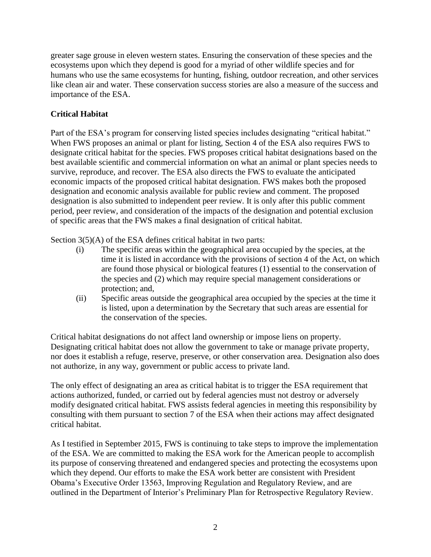greater sage grouse in eleven western states. Ensuring the conservation of these species and the ecosystems upon which they depend is good for a myriad of other wildlife species and for humans who use the same ecosystems for hunting, fishing, outdoor recreation, and other services like clean air and water. These conservation success stories are also a measure of the success and importance of the ESA.

# **Critical Habitat**

Part of the ESA's program for conserving listed species includes designating "critical habitat." When FWS proposes an animal or plant for listing, Section 4 of the ESA also requires FWS to designate critical habitat for the species. FWS proposes critical habitat designations based on the best available scientific and commercial information on what an animal or plant species needs to survive, reproduce, and recover. The ESA also directs the FWS to evaluate the anticipated economic impacts of the proposed critical habitat designation. FWS makes both the proposed designation and economic analysis available for public review and comment. The proposed designation is also submitted to independent peer review. It is only after this public comment period, peer review, and consideration of the impacts of the designation and potential exclusion of specific areas that the FWS makes a final designation of critical habitat.

Section  $3(5)(A)$  of the ESA defines critical habitat in two parts:

- (i) The specific areas within the geographical area occupied by the species, at the time it is listed in accordance with the provisions of section 4 of the Act, on which are found those physical or biological features (1) essential to the conservation of the species and (2) which may require special management considerations or protection; and,
- (ii) Specific areas outside the geographical area occupied by the species at the time it is listed, upon a determination by the Secretary that such areas are essential for the conservation of the species.

Critical habitat designations do not affect land ownership or impose liens on property. Designating critical habitat does not allow the government to take or manage private property, nor does it establish a refuge, reserve, preserve, or other conservation area. Designation also does not authorize, in any way, government or public access to private land.

The only effect of designating an area as critical habitat is to trigger the ESA requirement that actions authorized, funded, or carried out by federal agencies must not destroy or adversely modify designated critical habitat. FWS assists federal agencies in meeting this responsibility by consulting with them pursuant to section 7 of the ESA when their actions may affect designated critical habitat.

As I testified in September 2015, FWS is continuing to take steps to improve the implementation of the ESA. We are committed to making the ESA work for the American people to accomplish its purpose of conserving threatened and endangered species and protecting the ecosystems upon which they depend. Our efforts to make the ESA work better are consistent with President Obama's Executive Order 13563, Improving Regulation and Regulatory Review, and are outlined in the Department of Interior's Preliminary Plan for Retrospective Regulatory Review.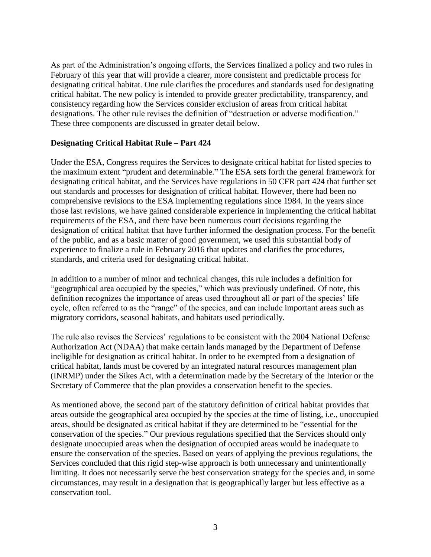As part of the Administration's ongoing efforts, the Services finalized a policy and two rules in February of this year that will provide a clearer, more consistent and predictable process for designating critical habitat. One rule clarifies the procedures and standards used for designating critical habitat. The new policy is intended to provide greater predictability, transparency, and consistency regarding how the Services consider exclusion of areas from critical habitat designations. The other rule revises the definition of "destruction or adverse modification." These three components are discussed in greater detail below.

#### **Designating Critical Habitat Rule – Part 424**

Under the ESA, Congress requires the Services to designate critical habitat for listed species to the maximum extent "prudent and determinable." The ESA sets forth the general framework for designating critical habitat, and the Services have regulations in 50 CFR part 424 that further set out standards and processes for designation of critical habitat. However, there had been no comprehensive revisions to the ESA implementing regulations since 1984. In the years since those last revisions, we have gained considerable experience in implementing the critical habitat requirements of the ESA, and there have been numerous court decisions regarding the designation of critical habitat that have further informed the designation process. For the benefit of the public, and as a basic matter of good government, we used this substantial body of experience to finalize a rule in February 2016 that updates and clarifies the procedures, standards, and criteria used for designating critical habitat.

In addition to a number of minor and technical changes, this rule includes a definition for "geographical area occupied by the species," which was previously undefined. Of note, this definition recognizes the importance of areas used throughout all or part of the species' life cycle, often referred to as the "range" of the species, and can include important areas such as migratory corridors, seasonal habitats, and habitats used periodically.

The rule also revises the Services' regulations to be consistent with the 2004 National Defense Authorization Act (NDAA) that make certain lands managed by the Department of Defense ineligible for designation as critical habitat. In order to be exempted from a designation of critical habitat, lands must be covered by an integrated natural resources management plan (INRMP) under the Sikes Act, with a determination made by the Secretary of the Interior or the Secretary of Commerce that the plan provides a conservation benefit to the species.

As mentioned above, the second part of the statutory definition of critical habitat provides that areas outside the geographical area occupied by the species at the time of listing, i.e., unoccupied areas, should be designated as critical habitat if they are determined to be "essential for the conservation of the species." Our previous regulations specified that the Services should only designate unoccupied areas when the designation of occupied areas would be inadequate to ensure the conservation of the species. Based on years of applying the previous regulations, the Services concluded that this rigid step-wise approach is both unnecessary and unintentionally limiting. It does not necessarily serve the best conservation strategy for the species and, in some circumstances, may result in a designation that is geographically larger but less effective as a conservation tool.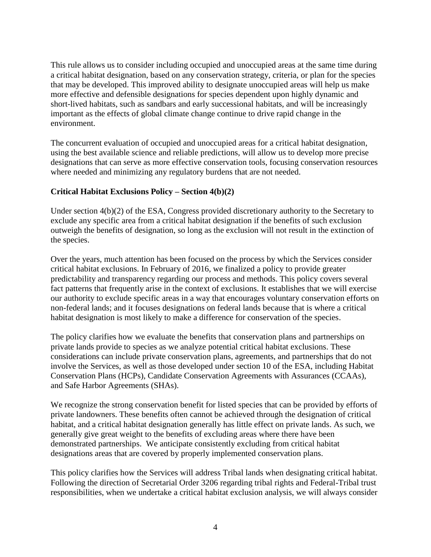This rule allows us to consider including occupied and unoccupied areas at the same time during a critical habitat designation, based on any conservation strategy, criteria, or plan for the species that may be developed. This improved ability to designate unoccupied areas will help us make more effective and defensible designations for species dependent upon highly dynamic and short-lived habitats, such as sandbars and early successional habitats, and will be increasingly important as the effects of global climate change continue to drive rapid change in the environment.

The concurrent evaluation of occupied and unoccupied areas for a critical habitat designation, using the best available science and reliable predictions, will allow us to develop more precise designations that can serve as more effective conservation tools, focusing conservation resources where needed and minimizing any regulatory burdens that are not needed.

# **Critical Habitat Exclusions Policy – Section 4(b)(2)**

Under section 4(b)(2) of the ESA, Congress provided discretionary authority to the Secretary to exclude any specific area from a critical habitat designation if the benefits of such exclusion outweigh the benefits of designation, so long as the exclusion will not result in the extinction of the species.

Over the years, much attention has been focused on the process by which the Services consider critical habitat exclusions. In February of 2016, we finalized a policy to provide greater predictability and transparency regarding our process and methods. This policy covers several fact patterns that frequently arise in the context of exclusions. It establishes that we will exercise our authority to exclude specific areas in a way that encourages voluntary conservation efforts on non-federal lands; and it focuses designations on federal lands because that is where a critical habitat designation is most likely to make a difference for conservation of the species.

The policy clarifies how we evaluate the benefits that conservation plans and partnerships on private lands provide to species as we analyze potential critical habitat exclusions. These considerations can include private conservation plans, agreements, and partnerships that do not involve the Services, as well as those developed under section 10 of the ESA, including Habitat Conservation Plans (HCPs), Candidate Conservation Agreements with Assurances (CCAAs), and Safe Harbor Agreements (SHAs).

We recognize the strong conservation benefit for listed species that can be provided by efforts of private landowners. These benefits often cannot be achieved through the designation of critical habitat, and a critical habitat designation generally has little effect on private lands. As such, we generally give great weight to the benefits of excluding areas where there have been demonstrated partnerships. We anticipate consistently excluding from critical habitat designations areas that are covered by properly implemented conservation plans.

This policy clarifies how the Services will address Tribal lands when designating critical habitat. Following the direction of Secretarial Order 3206 regarding tribal rights and Federal-Tribal trust responsibilities, when we undertake a critical habitat exclusion analysis, we will always consider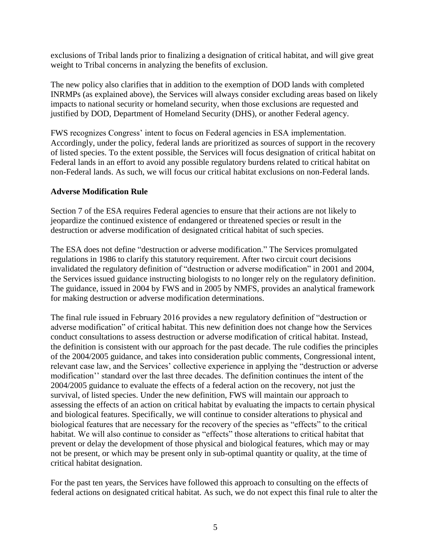exclusions of Tribal lands prior to finalizing a designation of critical habitat, and will give great weight to Tribal concerns in analyzing the benefits of exclusion.

The new policy also clarifies that in addition to the exemption of DOD lands with completed INRMPs (as explained above), the Services will always consider excluding areas based on likely impacts to national security or homeland security, when those exclusions are requested and justified by DOD, Department of Homeland Security (DHS), or another Federal agency.

FWS recognizes Congress' intent to focus on Federal agencies in ESA implementation. Accordingly, under the policy, federal lands are prioritized as sources of support in the recovery of listed species. To the extent possible, the Services will focus designation of critical habitat on Federal lands in an effort to avoid any possible regulatory burdens related to critical habitat on non-Federal lands. As such, we will focus our critical habitat exclusions on non-Federal lands.

# **Adverse Modification Rule**

Section 7 of the ESA requires Federal agencies to ensure that their actions are not likely to jeopardize the continued existence of endangered or threatened species or result in the destruction or adverse modification of designated critical habitat of such species.

The ESA does not define "destruction or adverse modification." The Services promulgated regulations in 1986 to clarify this statutory requirement. After two circuit court decisions invalidated the regulatory definition of "destruction or adverse modification" in 2001 and 2004, the Services issued guidance instructing biologists to no longer rely on the regulatory definition. The guidance, issued in 2004 by FWS and in 2005 by NMFS, provides an analytical framework for making destruction or adverse modification determinations.

The final rule issued in February 2016 provides a new regulatory definition of "destruction or adverse modification" of critical habitat. This new definition does not change how the Services conduct consultations to assess destruction or adverse modification of critical habitat. Instead, the definition is consistent with our approach for the past decade. The rule codifies the principles of the 2004/2005 guidance, and takes into consideration public comments, Congressional intent, relevant case law, and the Services' collective experience in applying the "destruction or adverse modification'' standard over the last three decades. The definition continues the intent of the 2004/2005 guidance to evaluate the effects of a federal action on the recovery, not just the survival, of listed species. Under the new definition, FWS will maintain our approach to assessing the effects of an action on critical habitat by evaluating the impacts to certain physical and biological features. Specifically, we will continue to consider alterations to physical and biological features that are necessary for the recovery of the species as "effects" to the critical habitat. We will also continue to consider as "effects" those alterations to critical habitat that prevent or delay the development of those physical and biological features, which may or may not be present, or which may be present only in sub-optimal quantity or quality, at the time of critical habitat designation.

For the past ten years, the Services have followed this approach to consulting on the effects of federal actions on designated critical habitat. As such, we do not expect this final rule to alter the